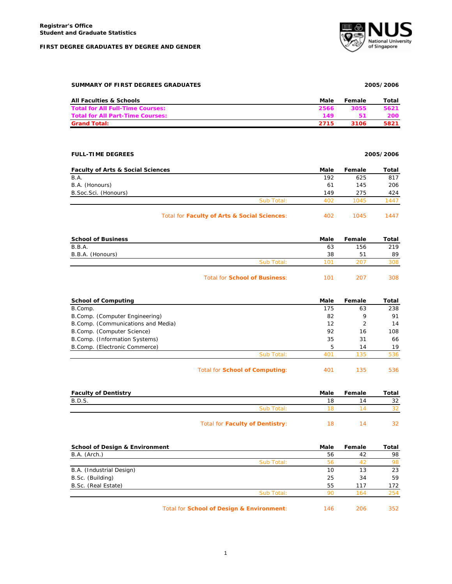#### **FIRST DEGREE GRADUATES BY DEGREE AND GENDER**



#### **SUMMARY OF FIRST DEGREES GRADUATES 2005/2006**

| <b>All Faculties &amp; Schools</b>      | Male | Female | Total |
|-----------------------------------------|------|--------|-------|
| <b>Total for All Full-Time Courses:</b> | 2566 | 3055   | 5621  |
| <b>Total for All Part-Time Courses:</b> | 149  |        | 200   |
| <b>Grand Total:</b>                     | 2715 | 3106   | 5821  |

### **FULL-TIME DEGREES 2005/2006**

| <b>Faculty of Arts &amp; Social Sciences</b> |            | Male | Female | Total |
|----------------------------------------------|------------|------|--------|-------|
| B.A.                                         |            | 192  | 625    | 817   |
| B.A. (Honours)                               |            | 61   | 145    | 206   |
| B.Soc.Sci. (Honours)                         |            | 149  | 275    | 424   |
|                                              | Sub Total: | 402  | 1045   | 447   |
|                                              |            |      |        |       |

# Total for **Faculty of Arts & Social Sciences**: 402 1045 1447

| <b>School of Business</b> |                                      | Male | Female | Total |
|---------------------------|--------------------------------------|------|--------|-------|
| <b>B.B.A.</b>             |                                      | 63   | 156    | 219   |
| B.B.A. (Honours)          |                                      | 38   | 51     | 89    |
|                           | Sub Total:                           | 101  | 207    | 308   |
|                           | <b>Total for School of Business:</b> | 101  | 207    | 308   |

| <b>School of Computing</b>          |                                | Male | Female | Total |
|-------------------------------------|--------------------------------|------|--------|-------|
| B.Comp.                             |                                | 175  | 63     | 238   |
| B.Comp. (Computer Engineering)      |                                | 82   | 9      | 91    |
| B. Comp. (Communications and Media) |                                | 12   |        | 14    |
| B.Comp. (Computer Science)          |                                | 92   | 16     | 108   |
| B.Comp. (Information Systems)       |                                | 35   | 31     | 66    |
| B.Comp. (Electronic Commerce)       |                                | 5    | 14     | 19    |
|                                     | Sub Total:                     | 401  | 135    | 536   |
|                                     | Total for School of Computing: | 401  | 135    | 536   |

| <b>Faculty of Dentistry</b> |                                        | Male | Female | Total |
|-----------------------------|----------------------------------------|------|--------|-------|
| B.D.S.                      |                                        | 18   | ıд     | 32    |
|                             | Sub Total:                             |      |        |       |
|                             | <b>Total for Faculty of Dentistry:</b> | 18.  |        |       |

| <b>School of Design &amp; Environment</b> |                                           | Male | Female | Total |
|-------------------------------------------|-------------------------------------------|------|--------|-------|
| B.A. (Arch.)                              |                                           | 56   | 42     | 98    |
|                                           | Sub Total:                                | 56   | 42     | 98    |
| B.A. (Industrial Design)                  |                                           | 10   | 13     | 23    |
| B.Sc. (Building)                          |                                           | 25   | 34     | 59    |
| B.Sc. (Real Estate)                       |                                           | 55   | 117    | 172   |
|                                           | Sub Total:                                | 90   | 164    | 254   |
|                                           | Total for School of Design & Environment: | 146  | 206    | 352   |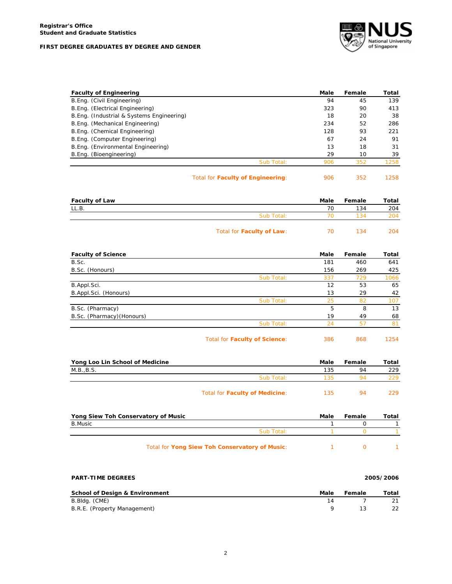# **FIRST DEGREE GRADUATES BY DEGREE AND GENDER**



| <b>Faculty of Engineering</b>              | Male | Female | Total |
|--------------------------------------------|------|--------|-------|
| B.Eng. (Civil Engineering)                 | 94   | 45     | 139   |
| B.Eng. (Electrical Engineering)            | 323  | 90     | 413   |
| B. Eng. (Industrial & Systems Engineering) | 18   | 20     | 38    |
| B. Eng. (Mechanical Engineering)           | 234  | 52     | 286   |
| B. Eng. (Chemical Engineering)             | 128  | 93     | 221   |
| B.Eng. (Computer Engineering)              | 67   | 24     | 91    |
| B. Eng. (Environmental Engineering)        | 13   | 18     | 31    |
| B.Eng. (Bioengineering)                    | 29   | 10     | 39    |
| Sub Total:                                 | 906  | 352    | 1258  |
|                                            |      |        |       |

| Total for Faculty of Engineering: | 906 | 1258 |
|-----------------------------------|-----|------|
|                                   |     |      |

| <b>Faculty of Law</b> |                           | Male | Female | Total |
|-----------------------|---------------------------|------|--------|-------|
| LL.B.                 |                           | 70   | 134    | 204   |
|                       | Sub Total:                |      | 134    | 204   |
|                       | Total for Faculty of Law: |      | 134    | 204   |

| <b>Faculty of Science</b>  |                               | Male | Female | Total |
|----------------------------|-------------------------------|------|--------|-------|
| B.Sc.                      |                               | 181  | 460    | 641   |
| B.Sc. (Honours)            |                               | 156  | 269    | 425   |
|                            | Sub Total:                    | 337  | 729    | 1066  |
| B.Appl.Sci.                |                               | 12   | 53     | 65    |
| B.Appl.Sci. (Honours)      |                               | 13   | 29     | 42    |
|                            | Sub Total:                    | 25   | 82     | 107   |
| B.Sc. (Pharmacy)           |                               | 5    | 8      | 13    |
| B.Sc. (Pharmacy) (Honours) |                               | 19   | 49     | 68    |
|                            | Sub Total:                    | 24   | 57     | 81    |
|                            | Total for Faculty of Science: | 386  | 868    | 1254  |

| Yong Loo Lin School of Medicine |                                        | Male | Female | Total |
|---------------------------------|----------------------------------------|------|--------|-------|
| M.B., B.S.                      |                                        | 135  | 94     | 229   |
|                                 | Sub Total:                             | 135  | QΔ     | 229.  |
|                                 | Total for <b>Faculty of Medicine</b> : | 135  | 94     | 229.  |

| Yong Siew Toh Conservatory of Music            | Male | Female | Total |
|------------------------------------------------|------|--------|-------|
| B.Music                                        |      |        |       |
| Sub Total:                                     |      |        |       |
| Total for Yong Siew Toh Conservatory of Music: |      |        |       |

| <b>PART-TIME DEGREES</b>                  |      |        | 2005/2006 |  |
|-------------------------------------------|------|--------|-----------|--|
| <b>School of Design &amp; Environment</b> | Male | Female | Total     |  |
| B.Bldg. (CME)                             |      |        |           |  |
| B.R.E. (Property Management)              |      |        | 22        |  |